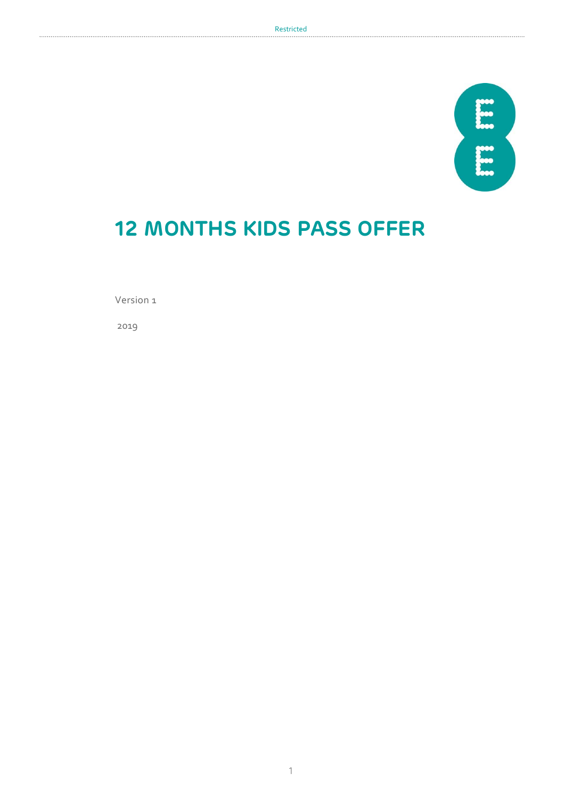

# **12 MONTHS KIDS PASS OFFER**

Version 1

2019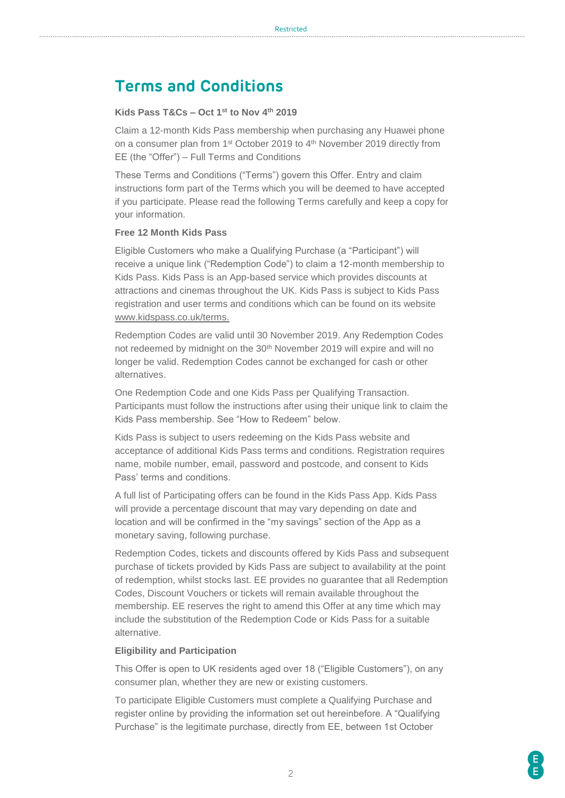# **Terms and Conditions**

# **Kids Pass T&Cs – Oct 1st to Nov 4th 2019**

Claim a 12-month Kids Pass membership when purchasing any Huawei phone on a consumer plan from 1st October 2019 to 4th November 2019 directly from EE (the "Offer") – Full Terms and Conditions

These Terms and Conditions ("Terms") govern this Offer. Entry and claim instructions form part of the Terms which you will be deemed to have accepted if you participate. Please read the following Terms carefully and keep a copy for your information.

## **Free 12 Month Kids Pass**

Eligible Customers who make a Qualifying Purchase (a "Participant") will receive a unique link ("Redemption Code") to claim a 12-month membership to Kids Pass. Kids Pass is an App-based service which provides discounts at attractions and cinemas throughout the UK. Kids Pass is subject to Kids Pass registration and user terms and conditions which can be found on its website [www.kidspass.co.uk/terms.](http://www.kidspass.co.uk/terms)

Redemption Codes are valid until 30 November 2019. Any Redemption Codes not redeemed by midnight on the 30<sup>th</sup> November 2019 will expire and will no longer be valid. Redemption Codes cannot be exchanged for cash or other alternatives.

One Redemption Code and one Kids Pass per Qualifying Transaction. Participants must follow the instructions after using their unique link to claim the Kids Pass membership. See "How to Redeem" below.

Kids Pass is subject to users redeeming on the Kids Pass website and acceptance of additional Kids Pass terms and conditions. Registration requires name, mobile number, email, password and postcode, and consent to Kids Pass' terms and conditions.

A full list of Participating offers can be found in the Kids Pass App. Kids Pass will provide a percentage discount that may vary depending on date and location and will be confirmed in the "my savings" section of the App as a monetary saving, following purchase.

Redemption Codes, tickets and discounts offered by Kids Pass and subsequent purchase of tickets provided by Kids Pass are subject to availability at the point of redemption, whilst stocks last. EE provides no guarantee that all Redemption Codes, Discount Vouchers or tickets will remain available throughout the membership. EE reserves the right to amend this Offer at any time which may include the substitution of the Redemption Code or Kids Pass for a suitable alternative.

### **Eligibility and Participation**

This Offer is open to UK residents aged over 18 ("Eligible Customers"), on any consumer plan, whether they are new or existing customers.

To participate Eligible Customers must complete a Qualifying Purchase and register online by providing the information set out hereinbefore. A "Qualifying Purchase" is the legitimate purchase, directly from EE, between 1st October